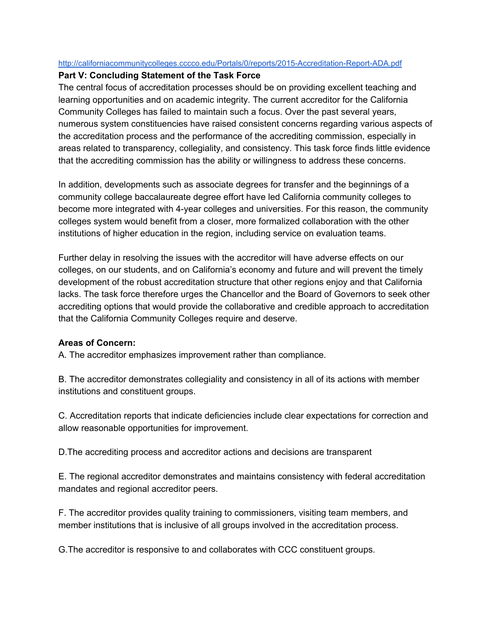## http://californiacommunitycolleges.cccco.edu/Portals/0/reports/2015-Accreditation-Report-ADA.pdf

## **Part V: Concluding Statement of the Task Force**

The central focus of accreditation processes should be on providing excellent teaching and learning opportunities and on academic integrity. The current accreditor for the California Community Colleges has failed to maintain such a focus. Over the past several years, numerous system constituencies have raised consistent concerns regarding various aspects of the accreditation process and the performance of the accrediting commission, especially in areas related to transparency, collegiality, and consistency. This task force finds little evidence that the accrediting commission has the ability or willingness to address these concerns.

In addition, developments such as associate degrees for transfer and the beginnings of a community college baccalaureate degree effort have led California community colleges to become more integrated with 4year colleges and universities. For this reason, the community colleges system would benefit from a closer, more formalized collaboration with the other institutions of higher education in the region, including service on evaluation teams.

Further delay in resolving the issues with the accreditor will have adverse effects on our colleges, on our students, and on California's economy and future and will prevent the timely development of the robust accreditation structure that other regions enjoy and that California lacks. The task force therefore urges the Chancellor and the Board of Governors to seek other accrediting options that would provide the collaborative and credible approach to accreditation that the California Community Colleges require and deserve.

## **Areas of Concern:**

A. The accreditor emphasizes improvement rather than compliance.

B. The accreditor demonstrates collegiality and consistency in all of its actions with member institutions and constituent groups.

C. Accreditation reports that indicate deficiencies include clear expectations for correction and allow reasonable opportunities for improvement.

D.The accrediting process and accreditor actions and decisions are transparent

E. The regional accreditor demonstrates and maintains consistency with federal accreditation mandates and regional accreditor peers.

F. The accreditor provides quality training to commissioners, visiting team members, and member institutions that is inclusive of all groups involved in the accreditation process.

G.The accreditor is responsive to and collaborates with CCC constituent groups.